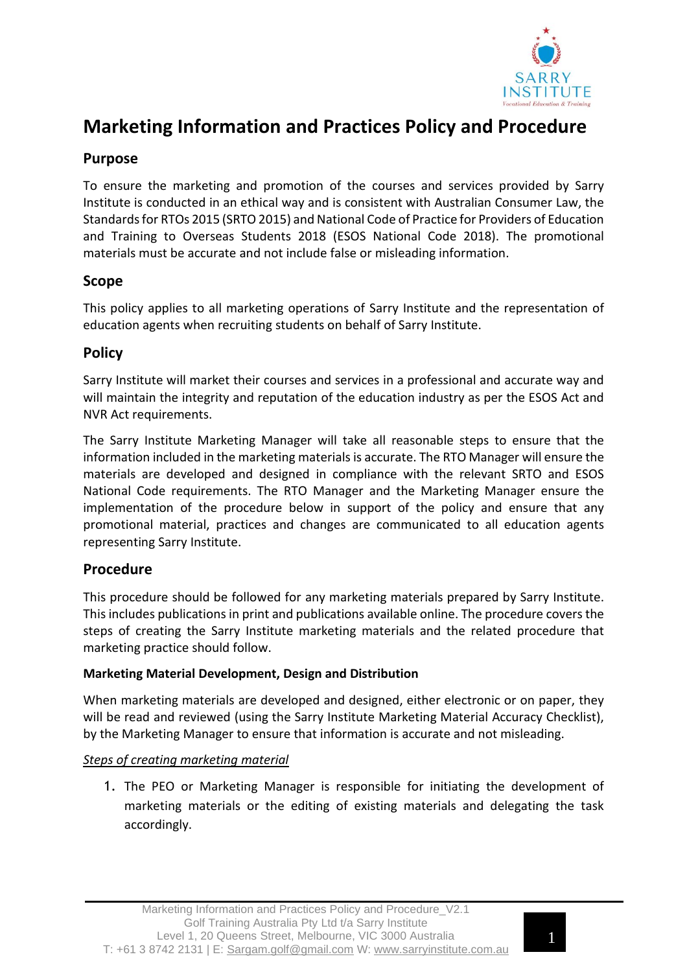

# **Marketing Information and Practices Policy and Procedure**

# **Purpose**

To ensure the marketing and promotion of the courses and services provided by Sarry Institute is conducted in an ethical way and is consistent with Australian Consumer Law, the Standardsfor RTOs 2015 (SRTO 2015) and National Code of Practice for Providers of Education and Training to Overseas Students 2018 (ESOS National Code 2018). The promotional materials must be accurate and not include false or misleading information.

# **Scope**

This policy applies to all marketing operations of Sarry Institute and the representation of education agents when recruiting students on behalf of Sarry Institute.

# **Policy**

Sarry Institute will market their courses and services in a professional and accurate way and will maintain the integrity and reputation of the education industry as per the ESOS Act and NVR Act requirements.

The Sarry Institute Marketing Manager will take all reasonable steps to ensure that the information included in the marketing materialsis accurate. The RTO Manager will ensure the materials are developed and designed in compliance with the relevant SRTO and ESOS National Code requirements. The RTO Manager and the Marketing Manager ensure the implementation of the procedure below in support of the policy and ensure that any promotional material, practices and changes are communicated to all education agents representing Sarry Institute.

## **Procedure**

This procedure should be followed for any marketing materials prepared by Sarry Institute. This includes publications in print and publications available online. The procedure coversthe steps of creating the Sarry Institute marketing materials and the related procedure that marketing practice should follow.

### **Marketing Material Development, Design and Distribution**

When marketing materials are developed and designed, either electronic or on paper, they will be read and reviewed (using the Sarry Institute Marketing Material Accuracy Checklist), by the Marketing Manager to ensure that information is accurate and not misleading.

## *Steps of creating marketing material*

1. The PEO or Marketing Manager is responsible for initiating the development of marketing materials or the editing of existing materials and delegating the task accordingly.

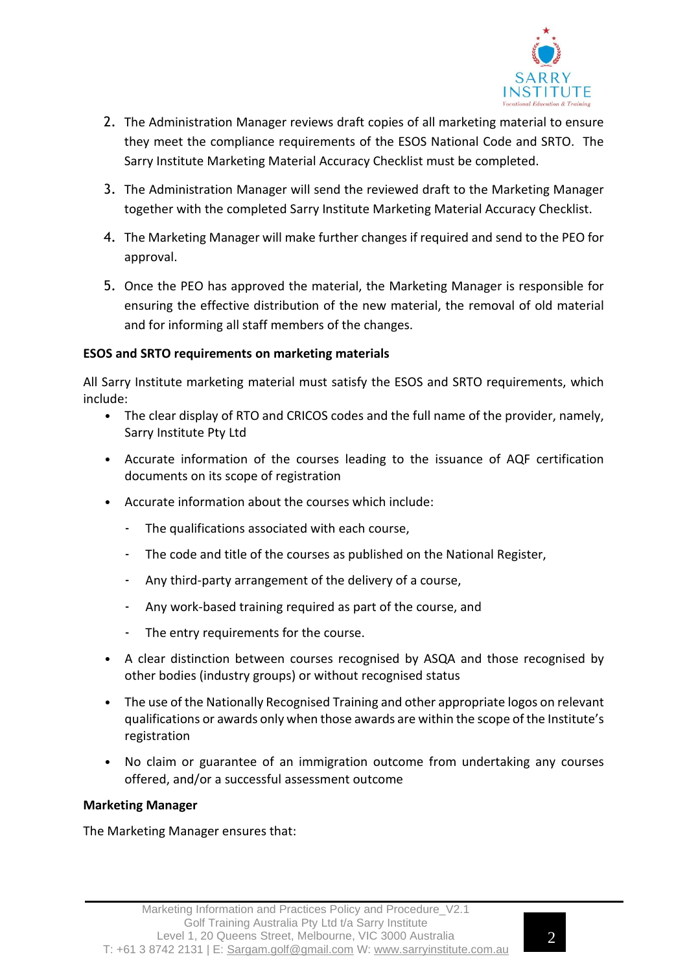

- 2. The Administration Manager reviews draft copies of all marketing material to ensure they meet the compliance requirements of the ESOS National Code and SRTO. The Sarry Institute Marketing Material Accuracy Checklist must be completed.
- 3. The Administration Manager will send the reviewed draft to the Marketing Manager together with the completed Sarry Institute Marketing Material Accuracy Checklist.
- 4. The Marketing Manager will make further changes if required and send to the PEO for approval.
- 5. Once the PEO has approved the material, the Marketing Manager is responsible for ensuring the effective distribution of the new material, the removal of old material and for informing all staff members of the changes.

#### **ESOS and SRTO requirements on marketing materials**

All Sarry Institute marketing material must satisfy the ESOS and SRTO requirements, which include:

- The clear display of RTO and CRICOS codes and the full name of the provider, namely, Sarry Institute Pty Ltd
- Accurate information of the courses leading to the issuance of AQF certification documents on its scope of registration
- Accurate information about the courses which include:
	- The qualifications associated with each course,
	- The code and title of the courses as published on the National Register,
	- Any third-party arrangement of the delivery of a course,
	- Any work-based training required as part of the course, and
	- The entry requirements for the course.
- A clear distinction between courses recognised by ASQA and those recognised by other bodies (industry groups) or without recognised status
- The use of the Nationally Recognised Training and other appropriate logos on relevant qualifications or awards only when those awards are within the scope ofthe Institute's registration
- No claim or guarantee of an immigration outcome from undertaking any courses offered, and/or a successful assessment outcome

#### **Marketing Manager**

The Marketing Manager ensures that: